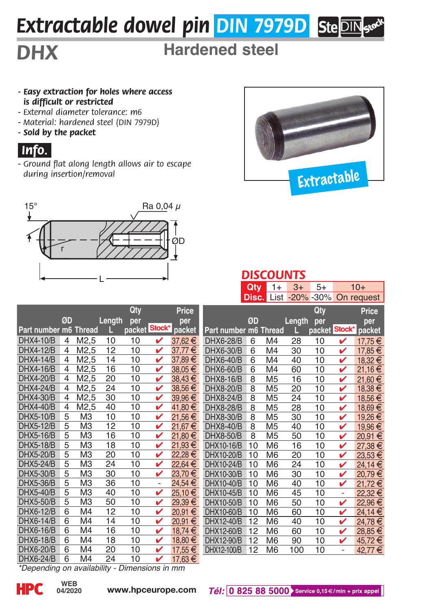# *Extractable dowel pin DIN 7979D*

# *DHX* **Hardened steel**

#### *- Easy extraction for holes where access is difficult or restricted*

- *External diameter tolerance: m6*
- *Material: hardened steel (DIN 7979D)*
- *Sold by the packet*

### *.Info..*

*- Ground flat along length allows air to escape during insertion/removal* 





#### *DISCOUNTS*

|                       |                |                   |        |        |        |             |                       | Qty   | $1+$           | $3+$   | $5+$           | $10+$ |            |  |
|-----------------------|----------------|-------------------|--------|--------|--------|-------------|-----------------------|-------|----------------|--------|----------------|-------|------------|--|
|                       |                |                   |        |        |        |             |                       | Disc. | List           |        | $-20\% - 30\%$ |       | On request |  |
|                       |                |                   |        | Qty    |        | Price       |                       |       |                |        | Qty            |       | Price      |  |
|                       | ØD             |                   | Length | per    |        | per         |                       | ØD    |                | Length | per            |       | per        |  |
| Part number m6 Thread |                |                   |        | packet | Stock* | packet      | Part number m6 Thread |       |                |        | packet Stock*  |       | packet     |  |
| DHX4-10/B             | $\overline{4}$ | M2,5              | 10     | 10     | v      | 37.62€      | DHX6-28/B             | 6     | M <sub>4</sub> | 28     | 10             | V     | 17.75€     |  |
| DHX4-12/B             | $\overline{4}$ | M <sub>2</sub> ,5 | 12     | 10     | v      | $37,77 \in$ | DHX6-30/B             | 6     | M <sub>4</sub> | 30     | 10             | v     | 17,85€     |  |
| <b>DHX4-14/B</b>      | 4              | M <sub>2</sub> ,5 | 14     | 10     | v      | 37,89€      | DHX6-40/B             | 6     | M4             | 40     | 10             | v     | 18,32€     |  |
| <b>DHX4-16/B</b>      | $\overline{4}$ | M <sub>2.5</sub>  | 16     | 10     | v      | $38.05 \in$ | DHX6-60/B             | 6     | M <sub>4</sub> | 60     | 10             | v     | 21,16€     |  |
| DHX4-20/B             | 4              | M <sub>2</sub> ,5 | 20     | 10     | ✓      | 38,43€      | DHX8-16/B             | 8     | M <sub>5</sub> | 16     | 10             | v     | 21,60€     |  |
| <b>DHX4-24/B</b>      | 4              | M2,5              | 24     | 10     | v      | 38.56€      | DHX8-20/B             | 8     | M <sub>5</sub> | 20     | 10             | v     | 18,38€     |  |
| DHX4-30/B             | 4              | M <sub>2</sub> ,5 | 30     | 10     | v      | 39,96€      | DHX8-24/B             | 8     | M <sub>5</sub> | 24     | 10             | v     | 18,56€     |  |
| DHX4-40/B             | 4              | M <sub>2</sub> ,5 | 40     | 10     | v      | 41,80 €     | DHX8-28/B             | 8     | M <sub>5</sub> | 28     | 10             | v     | 18,69€     |  |
| <b>DHX5-10/B</b>      | 5              | M <sub>3</sub>    | 10     | 10     | v      | 21,56€      | DHX8-30/B             | 8     | M <sub>5</sub> | 30     | 10             | v     | 19,26€     |  |
| DHX5-12/B             | 5              | MЗ                | 12     | 10     | v      | 21,67€      | DHX8-40/B             | 8     | M <sub>5</sub> | 40     | 10             | v     | 19,96€     |  |
| <b>DHX5-16/B</b>      | 5              | MЗ                | 16     | 10     | v      | 21.80 €     | DHX8-50/B             | 8     | M <sub>5</sub> | 50     | 10             | v     | 20,91€     |  |
| <b>DHX5-18/B</b>      | 5              | M <sub>3</sub>    | 18     | 10     | v      | 21,93€      | DHX10-16/B            | 10    | M <sub>6</sub> | 16     | 10             | v     | 27,38€     |  |
| <b>DHX5-20/B</b>      | 5              | MЗ                | 20     | 10     | v      | 22,28€      | DHX10-20/B            | 10    | M <sub>6</sub> | 20     | 10             | v     | 23,53€     |  |
| <b>DHX5-24/B</b>      | 5              | M <sub>3</sub>    | 24     | 10     | v      | 22,64€      | DHX10-24/B            | 10    | M <sub>6</sub> | 24     | 10             | v     | 24,14€     |  |
| <b>DHX5-30/B</b>      | 5              | MЗ                | 30     | 10     | v      | 23,70 €     | DHX10-30/B            | 10    | M <sub>6</sub> | 30     | 10             | V     | 20,79€     |  |
| DHX5-36/B             | 5              | M <sub>3</sub>    | 36     | 10     | ÷,     | 24.54€      | DHX10-40/B            | 10    | M <sub>6</sub> | 40     | 10             | v     | 21.72€     |  |
| <b>DHX5-40/B</b>      | 5              | M <sub>3</sub>    | 40     | 10     | v      | 25,10 €     | DHX10-45/B            | 10    | M <sub>6</sub> | 45     | 10             | ä,    | 22,32€     |  |
| DHX5-50/B             | 5              | MЗ                | 50     | 10     | v      | 29,39€      | DHX10-50/B            | 10    | M <sub>6</sub> | 50     | 10             | v     | 22,96€     |  |
| <b>DHX6-12/B</b>      | $\overline{6}$ | M4                | 12     | 10     | v      | 20,91€      | DHX10-60/B            | 10    | M <sub>6</sub> | 60     | 10             | v     | 24,14€     |  |
| DHX6-14/B             | 6              | M <sub>4</sub>    | 14     | 10     | v      | 20,91 €     | DHX12-40/B            | 12    | M <sub>6</sub> | 40     | 10             | V     | 24,78€     |  |
| DHX6-16/B             | 6              | M4                | 16     | 10     | v      | 18.74€      | DHX12-60/B            | 12    | M <sub>6</sub> | 60     | 10             | v     | 28,85€     |  |
| DHX6-18/B             | 6              | M4                | 18     | 10     | v      | 18,80 €     | DHX12-90/B            | 12    | M <sub>6</sub> | 90     | 10             | v     | 45,72€     |  |
| DHX6-20/B             | 6              | M4                | 20     | 10     | ✓      | 17,55€      | DHX12-100/B           | 12    | M <sub>6</sub> | 100    | 10             | ÷     | 42,77€     |  |
| DHX6-24/B             | 6              | M4                | 24     | 10     | ✓      | 17.63€      |                       |       |                |        |                |       |            |  |

*\*Depending on availability - Dimensions in mm*

**04/2020**